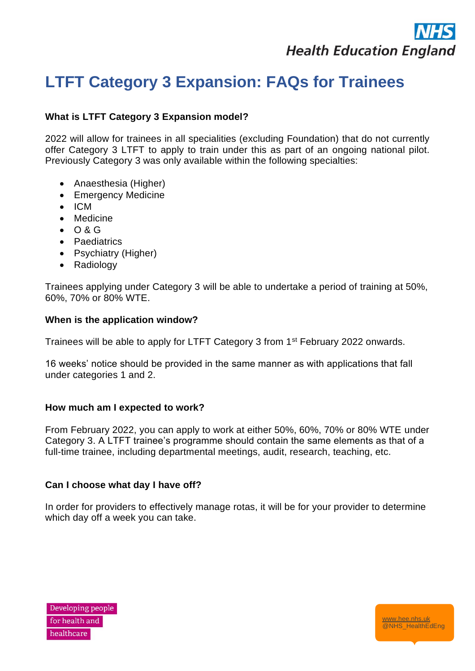

[www.hee.nhs.uk](http://www.hee.nhs.uk/) @NHS\_HealthEdEng

# **LTFT Category 3 Expansion: FAQs for Trainees**

# **What is LTFT Category 3 Expansion model?**

2022 will allow for trainees in all specialities (excluding Foundation) that do not currently offer Category 3 LTFT to apply to train under this as part of an ongoing national pilot. Previously Category 3 was only available within the following specialties:

- Anaesthesia (Higher)
- Emergency Medicine
- ICM
- Medicine
- O & G
- Paediatrics
- Psychiatry (Higher)
- Radiology

Trainees applying under Category 3 will be able to undertake a period of training at 50%, 60%, 70% or 80% WTE.

## **When is the application window?**

Trainees will be able to apply for LTFT Category 3 from 1st February 2022 onwards.

16 weeks' notice should be provided in the same manner as with applications that fall under categories 1 and 2.

## **How much am I expected to work?**

From February 2022, you can apply to work at either 50%, 60%, 70% or 80% WTE under Category 3. A LTFT trainee's programme should contain the same elements as that of a full-time trainee, including departmental meetings, audit, research, teaching, etc.

## **Can I choose what day I have off?**

In order for providers to effectively manage rotas, it will be for your provider to determine which day off a week you can take.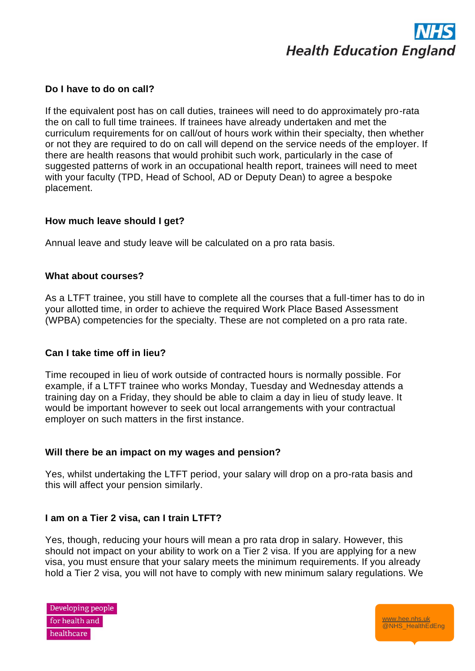

## **Do I have to do on call?**

If the equivalent post has on call duties, trainees will need to do approximately pro-rata the on call to full time trainees. If trainees have already undertaken and met the curriculum requirements for on call/out of hours work within their specialty, then whether or not they are required to do on call will depend on the service needs of the employer. If there are health reasons that would prohibit such work, particularly in the case of suggested patterns of work in an occupational health report, trainees will need to meet with your faculty (TPD, Head of School, AD or Deputy Dean) to agree a bespoke placement.

#### **How much leave should I get?**

Annual leave and study leave will be calculated on a pro rata basis.

#### **What about courses?**

As a LTFT trainee, you still have to complete all the courses that a full-timer has to do in your allotted time, in order to achieve the required Work Place Based Assessment (WPBA) competencies for the specialty. These are not completed on a pro rata rate.

#### **Can I take time off in lieu?**

Time recouped in lieu of work outside of contracted hours is normally possible. For example, if a LTFT trainee who works Monday, Tuesday and Wednesday attends a training day on a Friday, they should be able to claim a day in lieu of study leave. It would be important however to seek out local arrangements with your contractual employer on such matters in the first instance.

#### **Will there be an impact on my wages and pension?**

Yes, whilst undertaking the LTFT period, your salary will drop on a pro-rata basis and this will affect your pension similarly.

#### **I am on a Tier 2 visa, can I train LTFT?**

Yes, though, reducing your hours will mean a pro rata drop in salary. However, this should not impact on your ability to work on a Tier 2 visa. If you are applying for a new visa, you must ensure that your salary meets the minimum requirements. If you already hold a Tier 2 visa, you will not have to comply with new minimum salary regulations. We